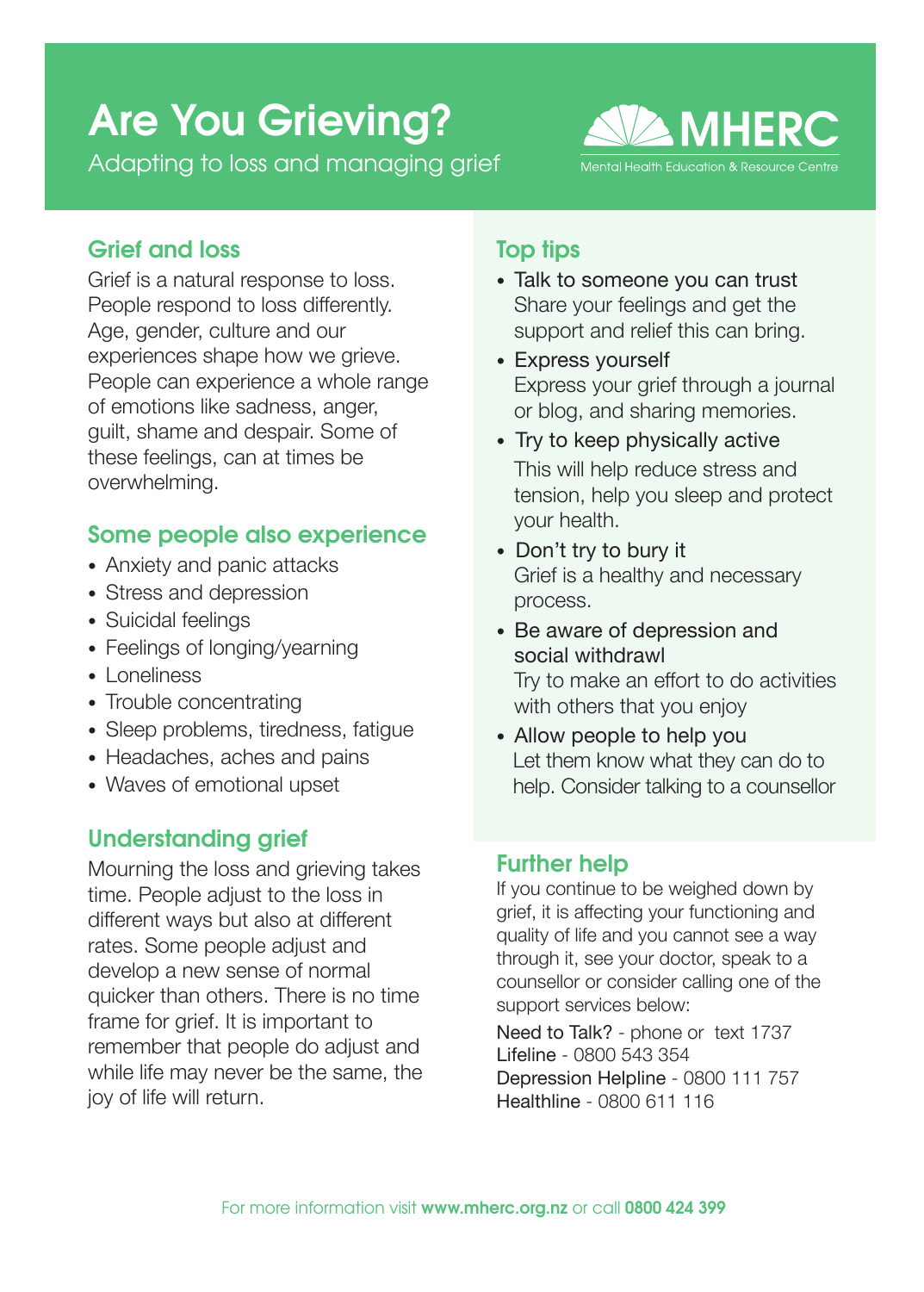# Are You Grieving?

Adapting to loss and managing grief



## Grief and loss

Grief is a natural response to loss. People respond to loss differently. Age, gender, culture and our experiences shape how we grieve. People can experience a whole range of emotions like sadness, anger, guilt, shame and despair. Some of these feelings, can at times be overwhelming.

# Some people also experience

- Anxiety and panic attacks
- Stress and depression
- Suicidal feelings
- Feelings of longing/yearning
- Loneliness
- Trouble concentrating
- Sleep problems, tiredness, fatique
- Headaches, aches and pains
- Waves of emotional upset

## Understanding grief

Mourning the loss and grieving takes time. People adjust to the loss in different ways but also at different rates. Some people adjust and develop a new sense of normal quicker than others. There is no time frame for grief. It is important to remember that people do adjust and while life may never be the same, the joy of life will return.

## Top tips

- Talk to someone you can trust Share your feelings and get the support and relief this can bring.
- Express yourself Express your grief through a journal or blog, and sharing memories.
- Try to keep physically active This will help reduce stress and tension, help you sleep and protect your health.
- Don't try to bury it Grief is a healthy and necessary process.
- Be aware of depression and social withdrawl Try to make an effort to do activities with others that you enjoy
- Allow people to help you Let them know what they can do to help. Consider talking to a counsellor

## Further help

If you continue to be weighed down by grief, it is affecting your functioning and quality of life and you cannot see a way through it, see your doctor, speak to a counsellor or consider calling one of the support services below:

Need to Talk? - phone or text 1737 Lifeline - 0800 543 354 Depression Helpline - 0800 111 757 Healthline - 0800 611 116